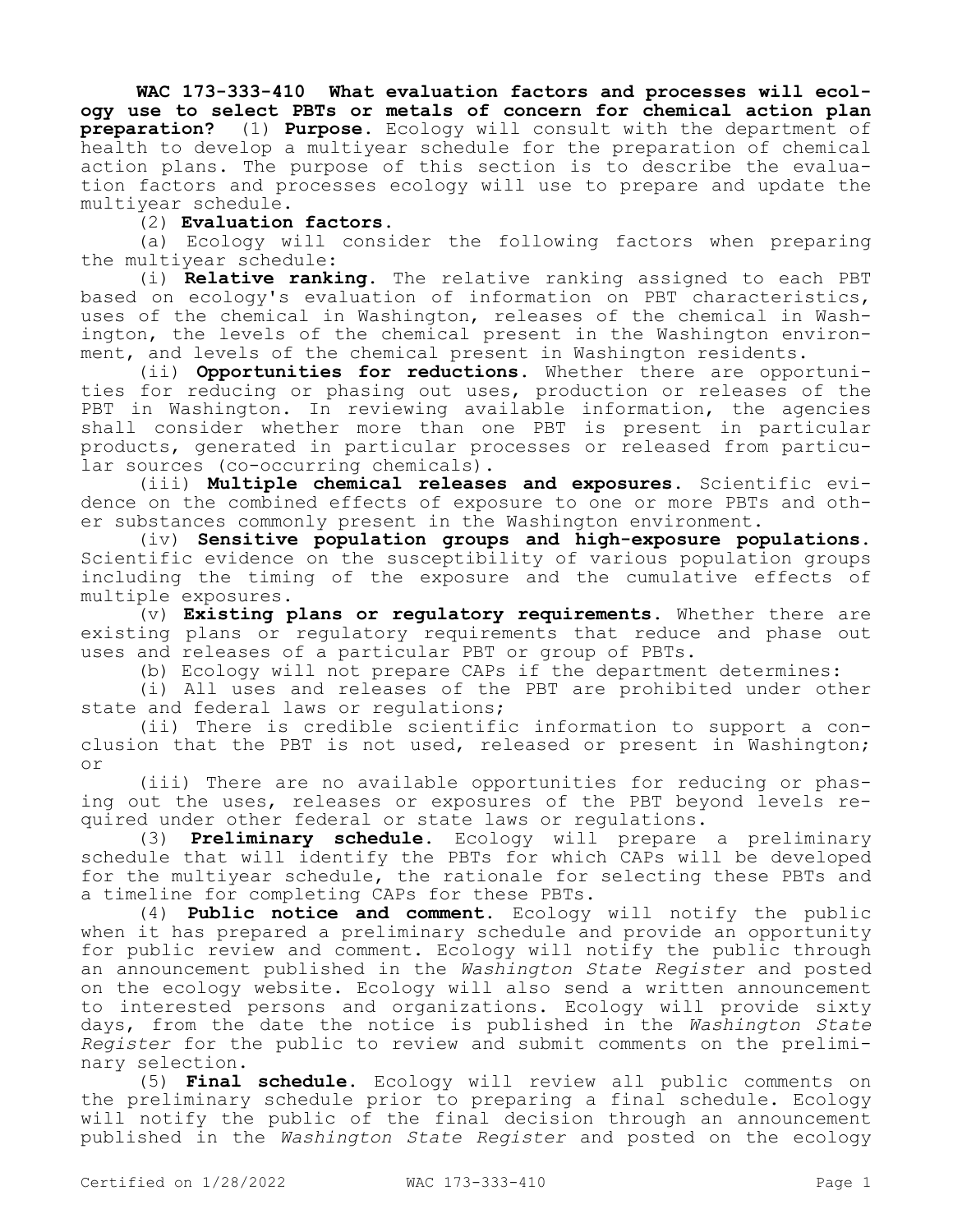**WAC 173-333-410 What evaluation factors and processes will ecology use to select PBTs or metals of concern for chemical action plan preparation?** (1) **Purpose.** Ecology will consult with the department of health to develop a multiyear schedule for the preparation of chemical action plans. The purpose of this section is to describe the evaluation factors and processes ecology will use to prepare and update the multiyear schedule.

## (2) **Evaluation factors.**

(a) Ecology will consider the following factors when preparing the multiyear schedule:

(i) **Relative ranking.** The relative ranking assigned to each PBT based on ecology's evaluation of information on PBT characteristics, uses of the chemical in Washington, releases of the chemical in Washington, the levels of the chemical present in the Washington environment, and levels of the chemical present in Washington residents.

(ii) **Opportunities for reductions.** Whether there are opportunities for reducing or phasing out uses, production or releases of the PBT in Washington. In reviewing available information, the agencies shall consider whether more than one PBT is present in particular products, generated in particular processes or released from particular sources (co-occurring chemicals).

(iii) **Multiple chemical releases and exposures.** Scientific evidence on the combined effects of exposure to one or more PBTs and other substances commonly present in the Washington environment.

(iv) **Sensitive population groups and high-exposure populations.**  Scientific evidence on the susceptibility of various population groups including the timing of the exposure and the cumulative effects of multiple exposures.

(v) **Existing plans or regulatory requirements.** Whether there are existing plans or regulatory requirements that reduce and phase out uses and releases of a particular PBT or group of PBTs.

(b) Ecology will not prepare CAPs if the department determines:

(i) All uses and releases of the PBT are prohibited under other state and federal laws or regulations;

(ii) There is credible scientific information to support a conclusion that the PBT is not used, released or present in Washington; or

(iii) There are no available opportunities for reducing or phasing out the uses, releases or exposures of the PBT beyond levels required under other federal or state laws or regulations.

(3) **Preliminary schedule.** Ecology will prepare a preliminary schedule that will identify the PBTs for which CAPs will be developed for the multiyear schedule, the rationale for selecting these PBTs and a timeline for completing CAPs for these PBTs.

(4) **Public notice and comment.** Ecology will notify the public when it has prepared a preliminary schedule and provide an opportunity for public review and comment. Ecology will notify the public through an announcement published in the *Washington State Register* and posted on the ecology website. Ecology will also send a written announcement to interested persons and organizations. Ecology will provide sixty days, from the date the notice is published in the *Washington State Register* for the public to review and submit comments on the preliminary selection.

(5) **Final schedule.** Ecology will review all public comments on the preliminary schedule prior to preparing a final schedule. Ecology will notify the public of the final decision through an announcement published in the *Washington State Register* and posted on the ecology